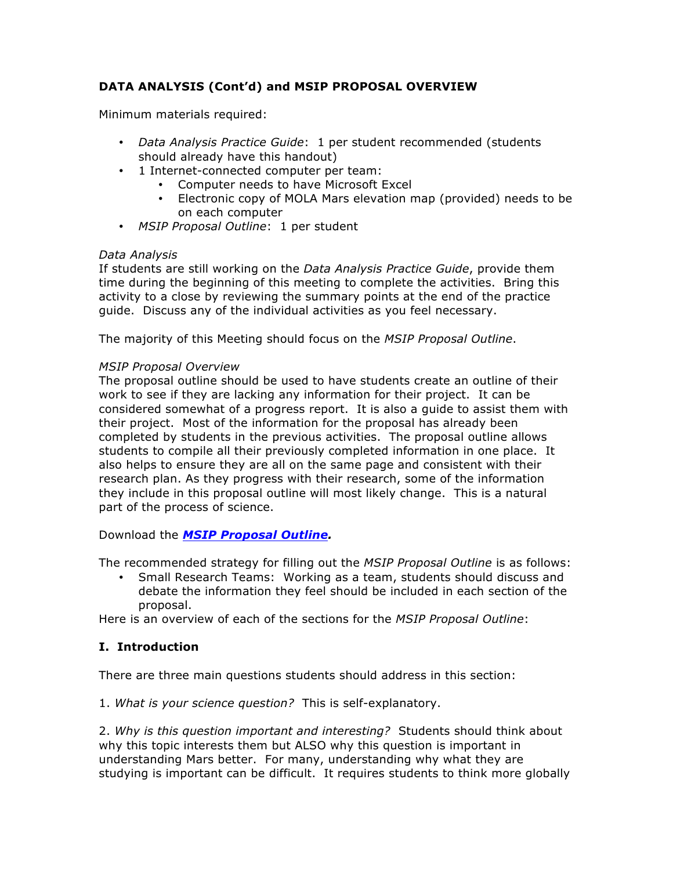# **DATA ANALYSIS (Cont'd) and MSIP PROPOSAL OVERVIEW**

Minimum materials required:

- *Data Analysis Practice Guide*: 1 per student recommended (students should already have this handout)
- 1 Internet-connected computer per team:
	- Computer needs to have Microsoft Excel
	- Electronic copy of MOLA Mars elevation map (provided) needs to be on each computer
- *MSIP Proposal Outline*: 1 per student

#### *Data Analysis*

If students are still working on the *Data Analysis Practice Guide*, provide them time during the beginning of this meeting to complete the activities. Bring this activity to a close by reviewing the summary points at the end of the practice guide. Discuss any of the individual activities as you feel necessary.

The majority of this Meeting should focus on the *MSIP Proposal Outline*.

#### *MSIP Proposal Overview*

The proposal outline should be used to have students create an outline of their work to see if they are lacking any information for their project. It can be considered somewhat of a progress report. It is also a guide to assist them with their project. Most of the information for the proposal has already been completed by students in the previous activities. The proposal outline allows students to compile all their previously completed information in one place. It also helps to ensure they are all on the same page and consistent with their research plan. As they progress with their research, some of the information they include in this proposal outline will most likely change. This is a natural part of the process of science.

Download the *MSIP Proposal Outline.*

The recommended strategy for filling out the *MSIP Proposal Outline* is as follows:

• Small Research Teams: Working as a team, students should discuss and debate the information they feel should be included in each section of the proposal.

Here is an overview of each of the sections for the *MSIP Proposal Outline*:

### **I. Introduction**

There are three main questions students should address in this section:

1. *What is your science question?* This is self-explanatory.

2. *Why is this question important and interesting?* Students should think about why this topic interests them but ALSO why this question is important in understanding Mars better. For many, understanding why what they are studying is important can be difficult. It requires students to think more globally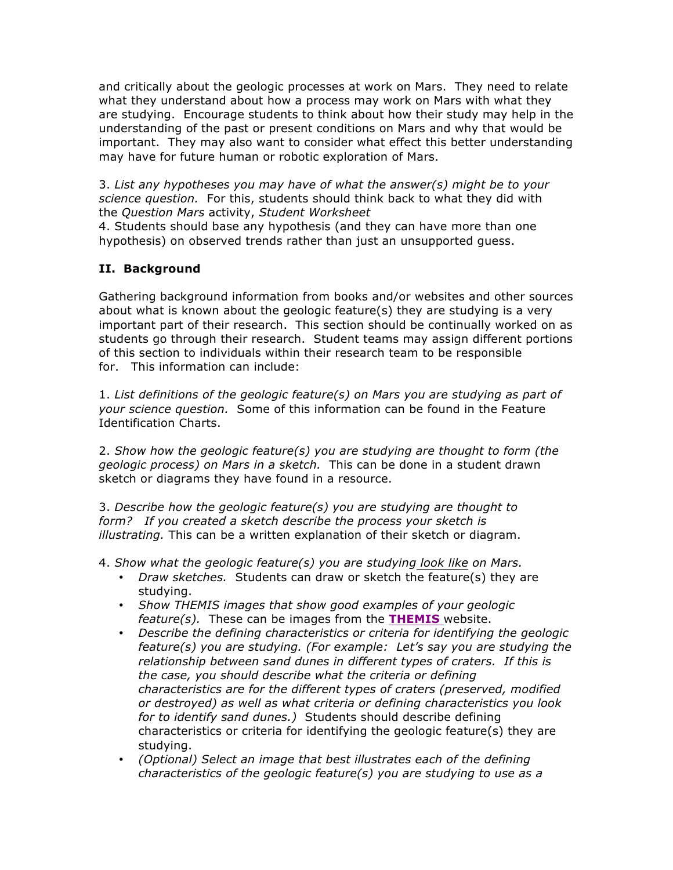and critically about the geologic processes at work on Mars. They need to relate what they understand about how a process may work on Mars with what they are studying. Encourage students to think about how their study may help in the understanding of the past or present conditions on Mars and why that would be important. They may also want to consider what effect this better understanding may have for future human or robotic exploration of Mars.

3. *List any hypotheses you may have of what the answer(s) might be to your science question.* For this, students should think back to what they did with the *Question Mars* activity, *Student Worksheet*

4. Students should base any hypothesis (and they can have more than one hypothesis) on observed trends rather than just an unsupported guess.

## **II. Background**

Gathering background information from books and/or websites and other sources about what is known about the geologic feature(s) they are studying is a very important part of their research. This section should be continually worked on as students go through their research. Student teams may assign different portions of this section to individuals within their research team to be responsible for. This information can include:

1. *List definitions of the geologic feature(s) on Mars you are studying as part of your science question.* Some of this information can be found in the Feature Identification Charts.

2. *Show how the geologic feature(s) you are studying are thought to form (the geologic process) on Mars in a sketch.* This can be done in a student drawn sketch or diagrams they have found in a resource.

3. *Describe how the geologic feature(s) you are studying are thought to form? If you created a sketch describe the process your sketch is illustrating.* This can be a written explanation of their sketch or diagram.

4. *Show what the geologic feature(s) you are studying look like on Mars.*

- *Draw sketches.* Students can draw or sketch the feature(s) they are studying.
- *Show THEMIS images that show good examples of your geologic feature(s).* These can be images from the **THEMIS** website.
- *Describe the defining characteristics or criteria for identifying the geologic feature(s) you are studying. (For example: Let's say you are studying the relationship between sand dunes in different types of craters. If this is the case, you should describe what the criteria or defining characteristics are for the different types of craters (preserved, modified or destroyed) as well as what criteria or defining characteristics you look for to identify sand dunes.)* Students should describe defining characteristics or criteria for identifying the geologic feature(s) they are studying.
- *(Optional) Select an image that best illustrates each of the defining characteristics of the geologic feature(s) you are studying to use as a*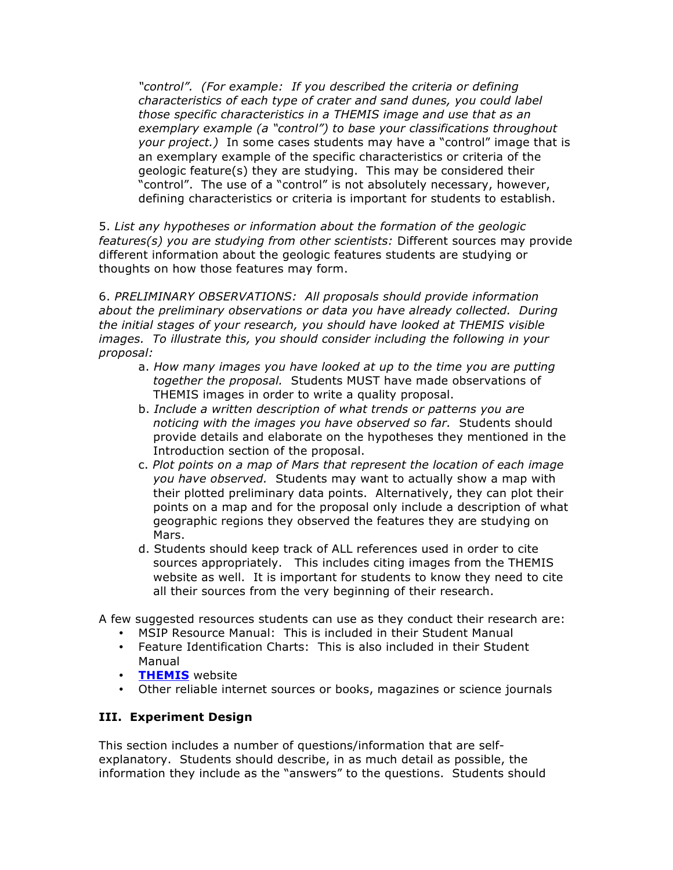*"control". (For example: If you described the criteria or defining characteristics of each type of crater and sand dunes, you could label those specific characteristics in a THEMIS image and use that as an exemplary example (a "control") to base your classifications throughout your project.)* In some cases students may have a "control" image that is an exemplary example of the specific characteristics or criteria of the geologic feature(s) they are studying. This may be considered their "control". The use of a "control" is not absolutely necessary, however, defining characteristics or criteria is important for students to establish.

5. *List any hypotheses or information about the formation of the geologic features(s) you are studying from other scientists:* Different sources may provide different information about the geologic features students are studying or thoughts on how those features may form.

6. *PRELIMINARY OBSERVATIONS: All proposals should provide information about the preliminary observations or data you have already collected. During the initial stages of your research, you should have looked at THEMIS visible images. To illustrate this, you should consider including the following in your proposal:*

- a. *How many images you have looked at up to the time you are putting together the proposal.* Students MUST have made observations of THEMIS images in order to write a quality proposal.
- b. *Include a written description of what trends or patterns you are noticing with the images you have observed so far.* Students should provide details and elaborate on the hypotheses they mentioned in the Introduction section of the proposal.
- c. *Plot points on a map of Mars that represent the location of each image you have observed.* Students may want to actually show a map with their plotted preliminary data points. Alternatively, they can plot their points on a map and for the proposal only include a description of what geographic regions they observed the features they are studying on Mars.
- d. Students should keep track of ALL references used in order to cite sources appropriately. This includes citing images from the THEMIS website as well. It is important for students to know they need to cite all their sources from the very beginning of their research.

A few suggested resources students can use as they conduct their research are:

- MSIP Resource Manual: This is included in their Student Manual
- Feature Identification Charts: This is also included in their Student Manual
- **THEMIS** website
- Other reliable internet sources or books, magazines or science journals

### **III. Experiment Design**

This section includes a number of questions/information that are selfexplanatory. Students should describe, in as much detail as possible, the information they include as the "answers" to the questions. Students should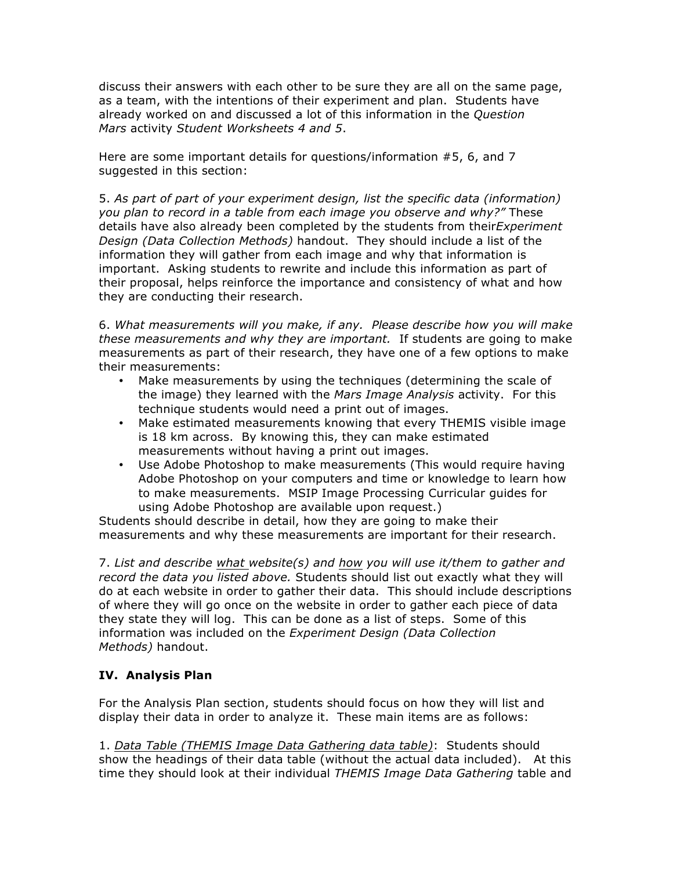discuss their answers with each other to be sure they are all on the same page, as a team, with the intentions of their experiment and plan. Students have already worked on and discussed a lot of this information in the *Question Mars* activity *Student Worksheets 4 and 5*.

Here are some important details for questions/information #5, 6, and 7 suggested in this section:

5. *As part of part of your experiment design, list the specific data (information) you plan to record in a table from each image you observe and why?"* These details have also already been completed by the students from their*Experiment Design (Data Collection Methods)* handout. They should include a list of the information they will gather from each image and why that information is important. Asking students to rewrite and include this information as part of their proposal, helps reinforce the importance and consistency of what and how they are conducting their research.

6. *What measurements will you make, if any. Please describe how you will make these measurements and why they are important.* If students are going to make measurements as part of their research, they have one of a few options to make their measurements:

- Make measurements by using the techniques (determining the scale of the image) they learned with the *Mars Image Analysis* activity. For this technique students would need a print out of images.
- Make estimated measurements knowing that every THEMIS visible image is 18 km across. By knowing this, they can make estimated measurements without having a print out images.
- Use Adobe Photoshop to make measurements (This would require having Adobe Photoshop on your computers and time or knowledge to learn how to make measurements. MSIP Image Processing Curricular guides for using Adobe Photoshop are available upon request.)

Students should describe in detail, how they are going to make their measurements and why these measurements are important for their research.

7. *List and describe what website(s) and how you will use it/them to gather and record the data you listed above.* Students should list out exactly what they will do at each website in order to gather their data. This should include descriptions of where they will go once on the website in order to gather each piece of data they state they will log. This can be done as a list of steps. Some of this information was included on the *Experiment Design (Data Collection Methods)* handout.

# **IV. Analysis Plan**

For the Analysis Plan section, students should focus on how they will list and display their data in order to analyze it. These main items are as follows:

1. *Data Table (THEMIS Image Data Gathering data table)*: Students should show the headings of their data table (without the actual data included). At this time they should look at their individual *THEMIS Image Data Gathering* table and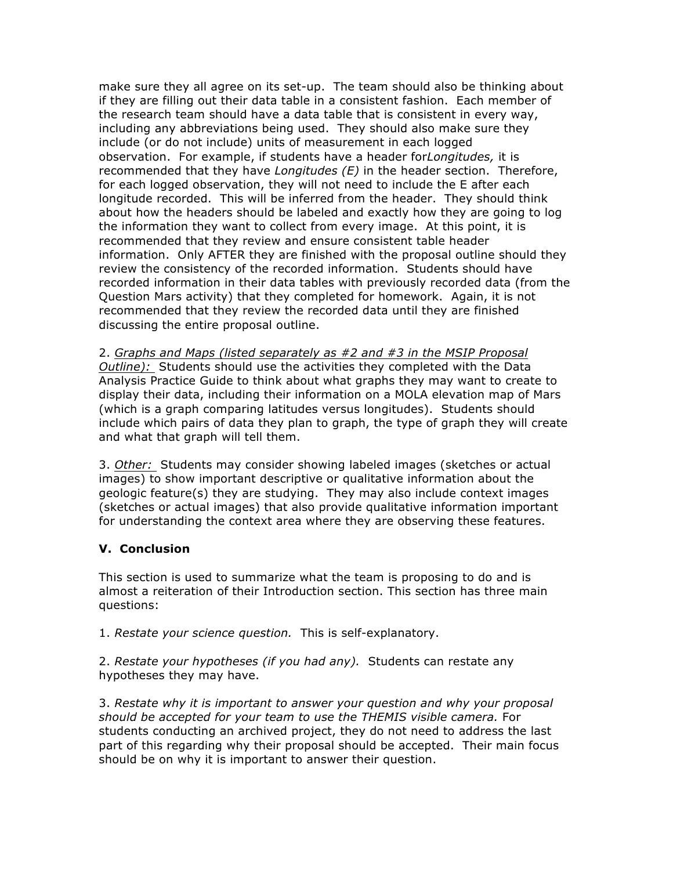make sure they all agree on its set-up. The team should also be thinking about if they are filling out their data table in a consistent fashion. Each member of the research team should have a data table that is consistent in every way, including any abbreviations being used. They should also make sure they include (or do not include) units of measurement in each logged observation. For example, if students have a header for*Longitudes,* it is recommended that they have *Longitudes (E)* in the header section. Therefore, for each logged observation, they will not need to include the E after each longitude recorded. This will be inferred from the header. They should think about how the headers should be labeled and exactly how they are going to log the information they want to collect from every image. At this point, it is recommended that they review and ensure consistent table header information. Only AFTER they are finished with the proposal outline should they review the consistency of the recorded information. Students should have recorded information in their data tables with previously recorded data (from the Question Mars activity) that they completed for homework. Again, it is not recommended that they review the recorded data until they are finished discussing the entire proposal outline.

2. *Graphs and Maps (listed separately as #2 and #3 in the MSIP Proposal Outline):* Students should use the activities they completed with the Data Analysis Practice Guide to think about what graphs they may want to create to display their data, including their information on a MOLA elevation map of Mars (which is a graph comparing latitudes versus longitudes). Students should include which pairs of data they plan to graph, the type of graph they will create and what that graph will tell them.

3. *Other:* Students may consider showing labeled images (sketches or actual images) to show important descriptive or qualitative information about the geologic feature(s) they are studying. They may also include context images (sketches or actual images) that also provide qualitative information important for understanding the context area where they are observing these features.

### **V. Conclusion**

This section is used to summarize what the team is proposing to do and is almost a reiteration of their Introduction section. This section has three main questions:

1. *Restate your science question.* This is self-explanatory.

2. *Restate your hypotheses (if you had any).* Students can restate any hypotheses they may have.

3. *Restate why it is important to answer your question and why your proposal should be accepted for your team to use the THEMIS visible camera.* For students conducting an archived project, they do not need to address the last part of this regarding why their proposal should be accepted. Their main focus should be on why it is important to answer their question.